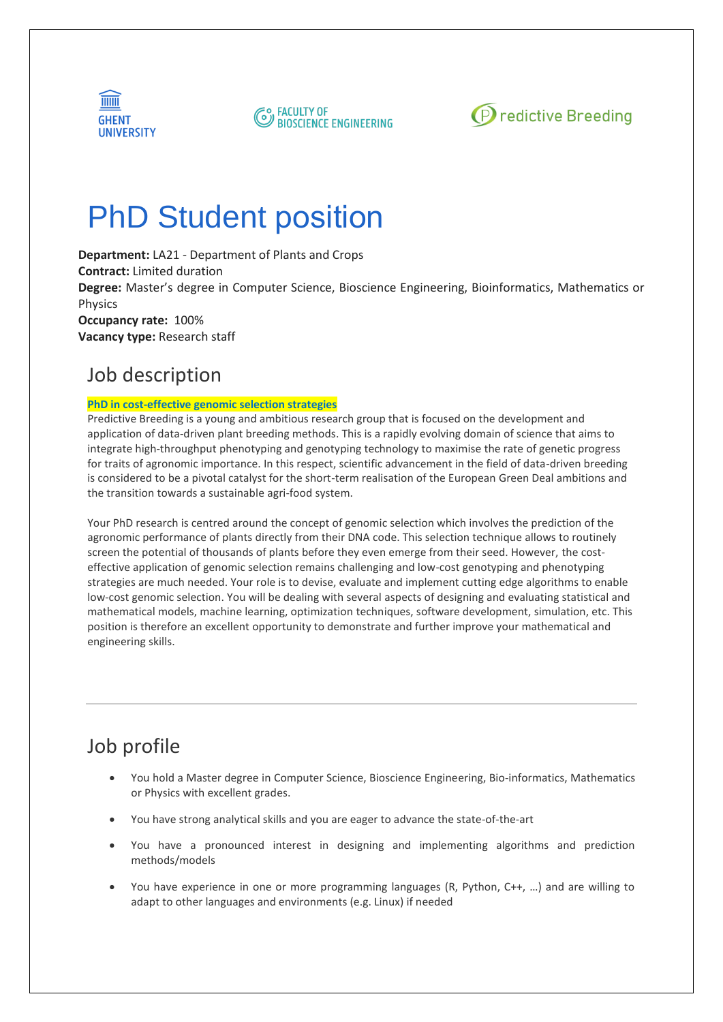





# PhD Student position

**Department:** LA21 - Department of Plants and Crops **Contract:** Limited duration **Degree:** Master's degree in Computer Science, Bioscience Engineering, Bioinformatics, Mathematics or Physics **Occupancy rate:** 100% **Vacancy type:** Research staff

### Job description

#### **PhD in cost-effective genomic selection strategies**

Predictive Breeding is a young and ambitious research group that is focused on the development and application of data-driven plant breeding methods. This is a rapidly evolving domain of science that aims to integrate high-throughput phenotyping and genotyping technology to maximise the rate of genetic progress for traits of agronomic importance. In this respect, scientific advancement in the field of data-driven breeding is considered to be a pivotal catalyst for the short-term realisation of the European Green Deal ambitions and the transition towards a sustainable agri-food system.

Your PhD research is centred around the concept of genomic selection which involves the prediction of the agronomic performance of plants directly from their DNA code. This selection technique allows to routinely screen the potential of thousands of plants before they even emerge from their seed. However, the costeffective application of genomic selection remains challenging and low-cost genotyping and phenotyping strategies are much needed. Your role is to devise, evaluate and implement cutting edge algorithms to enable low-cost genomic selection. You will be dealing with several aspects of designing and evaluating statistical and mathematical models, machine learning, optimization techniques, software development, simulation, etc. This position is therefore an excellent opportunity to demonstrate and further improve your mathematical and engineering skills.

# Job profile

- You hold a Master degree in Computer Science, Bioscience Engineering, Bio-informatics, Mathematics or Physics with excellent grades.
- You have strong analytical skills and you are eager to advance the state-of-the-art
- You have a pronounced interest in designing and implementing algorithms and prediction methods/models
- You have experience in one or more programming languages (R, Python, C++, …) and are willing to adapt to other languages and environments (e.g. Linux) if needed